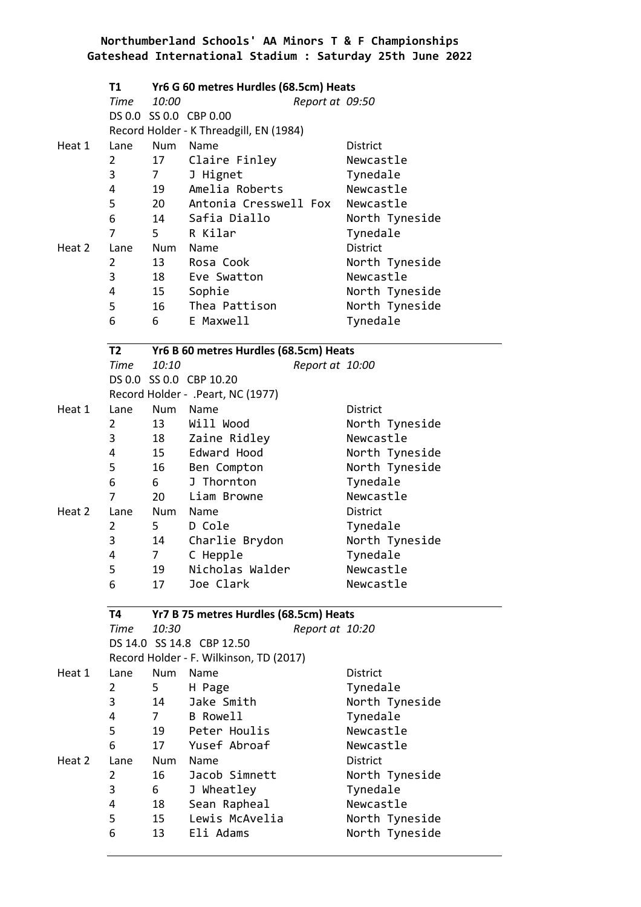|        | T1             |                | Yr6 G 60 metres Hurdles (68.5cm) Heats  |                 |
|--------|----------------|----------------|-----------------------------------------|-----------------|
|        | Time           | 10:00          | Report at 09:50                         |                 |
|        |                |                | DS 0.0 SS 0.0 CBP 0.00                  |                 |
|        |                |                | Record Holder - K Threadgill, EN (1984) |                 |
| Heat 1 | Lane           | <b>Num</b>     | Name                                    | District        |
|        | 2              | 17             | Claire Finley                           | Newcastle       |
|        | 3              | 7 <sup>7</sup> | J Hignet                                | Tynedale        |
|        | 4              | 19             | Amelia Roberts                          | Newcastle       |
|        | 5              | 20             | Antonia Cresswell Fox                   | Newcastle       |
|        | 6              | 14             | Safia Diallo                            | North Tyneside  |
|        | 7              | 5.             | R Kilar                                 | Tynedale        |
| Heat 2 | Lane           |                | Num Name                                | <b>District</b> |
|        | 2              | 13             | Rosa Cook                               | North Tyneside  |
|        | 3              | 18             | Eve Swatton                             | Newcastle       |
|        | 4              | 15             | Sophie                                  | North Tyneside  |
|        | 5              | 16             | Thea Pattison                           | North Tyneside  |
|        | 6              | 6              | E Maxwell                               | Tynedale        |
|        | <b>T2</b>      |                | Yr6 B 60 metres Hurdles (68.5cm) Heats  |                 |
|        | Time           | 10:10          | Report at 10:00                         |                 |
|        |                |                | DS 0.0 SS 0.0 CBP 10.20                 |                 |
|        |                |                | Record Holder - .Peart, NC (1977)       |                 |
| Heat 1 | Lane           |                | Num Name                                | District        |
|        | $\overline{2}$ | 13             | Will Wood                               | North Tyneside  |
|        | 3              | 18             | Zaine Ridley                            | Newcastle       |
|        | 4              | 15             | Edward Hood                             | North Tyneside  |
|        | 5              | 16             | Ben Compton                             | North Tyneside  |
|        | 6              | 6              | J Thornton                              | Tynedale        |
|        | 7              | 20             | Liam Browne                             | Newcastle       |
| Heat 2 | Lane           |                | Num Name                                | District        |
|        | 2              | 5              | D Cole                                  | Tynedale        |
|        | 3              | 14             | Charlie Brydon                          | North Tyneside  |
|        | 4              | 7              | C Hepple                                | Tynedale        |
|        | 5              | 19             | Nicholas Walder                         | Newcastle       |
|        | 6              | 17             | Joe Clark                               | Newcastle       |
|        | Т4             |                | Yr7 B 75 metres Hurdles (68.5cm) Heats  |                 |
|        | Time           | 10:30          | Report at 10:20                         |                 |
|        |                |                | DS 14.0 SS 14.8 CBP 12.50               |                 |
|        |                |                | Record Holder - F. Wilkinson, TD (2017) |                 |
| Heat 1 | Lane           | Num            | Name                                    | District        |
|        | $\overline{2}$ | 5              | H Page                                  | Tynedale        |
|        | 3              | 14             | Jake Smith                              | North Tyneside  |
|        | 4              | $7 \quad$      | <b>B</b> Rowell                         | Tynedale        |
|        | 5              | 19             | Peter Houlis                            | Newcastle       |
|        | 6              | 17             | Yusef Abroaf                            | Newcastle       |
| Heat 2 | Lane           | Num            | Name                                    | District        |
|        | $\overline{2}$ | 16             | Jacob Simnett                           | North Tyneside  |
|        | 3              | 6              | J Wheatley                              | Tynedale        |
|        | 4              | 18             | Sean Rapheal                            | Newcastle       |
|        | 5              | 15             | Lewis McAvelia                          | North Tyneside  |
|        | 6              | 13             | Eli Adams                               | North Tyneside  |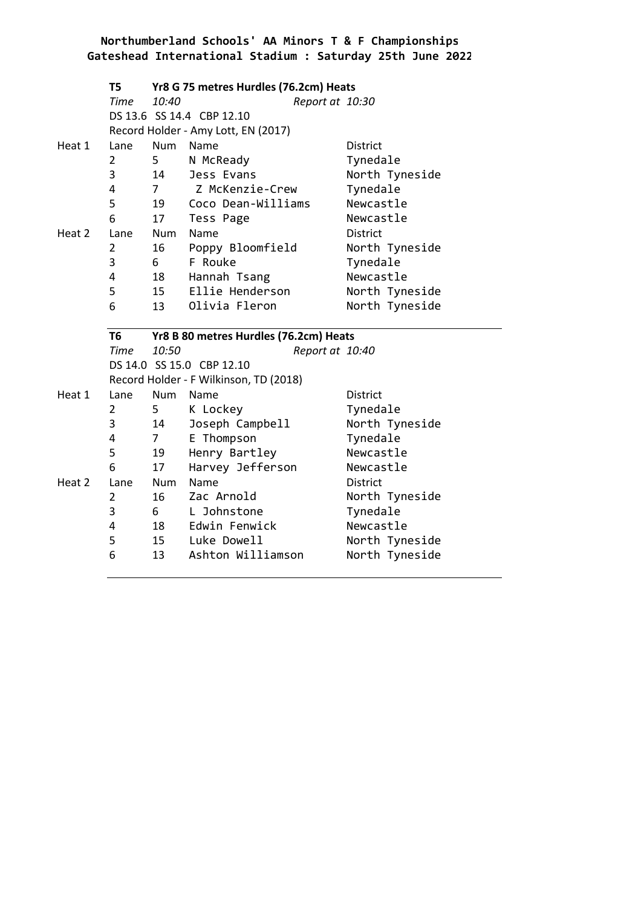|        | T5             |                | Yr8 G 75 metres Hurdles (76.2cm) Heats |                 |
|--------|----------------|----------------|----------------------------------------|-----------------|
|        | <b>Time</b>    | 10:40          | Report at 10:30                        |                 |
|        |                |                | DS 13.6 SS 14.4 CBP 12.10              |                 |
|        |                |                | Record Holder - Amy Lott, EN (2017)    |                 |
| Heat 1 | Lane           | Num            | Name                                   | <b>District</b> |
|        | $\overline{2}$ | 5              | N McReady                              | Tynedale        |
|        | 3              | 14             | Jess Evans                             | North Tyneside  |
|        | 4              | 7 <sup>7</sup> | Z McKenzie-Crew                        | Tynedale        |
|        | 5              | 19             | Coco Dean-Williams                     | Newcastle       |
|        | 6              | 17             | Tess Page                              | Newcastle       |
| Heat 2 | Lane           | Num            | Name                                   | <b>District</b> |
|        | $\overline{2}$ | 16             | Poppy Bloomfield                       | North Tyneside  |
|        | 3              | 6 <sup>1</sup> | F Rouke                                | Tynedale        |
|        | 4              | 18             | Hannah Tsang                           | Newcastle       |
|        | 5              | 15             | Ellie Henderson                        | North Tyneside  |
|        | 6              | 13             | Olivia Fleron                          | North Tyneside  |
|        |                |                |                                        |                 |
|        |                |                |                                        |                 |
|        | T <sub>6</sub> |                | Yr8 B 80 metres Hurdles (76.2cm) Heats |                 |
|        | <b>Time</b>    | 10:50          | Report at 10:40                        |                 |
|        |                |                | DS 14.0 SS 15.0 CBP 12.10              |                 |
|        |                |                | Record Holder - F Wilkinson, TD (2018) |                 |
| Heat 1 | Lane           | Num            | Name                                   | <b>District</b> |
|        | $\overline{2}$ | 5              | K Lockey                               | Tynedale        |
|        | 3              | 14             | Joseph Campbell                        | North Tyneside  |
|        | 4              | $\overline{7}$ | E Thompson                             | Tynedale        |
|        | 5              | 19             | Henry Bartley                          | Newcastle       |
|        | 6              | 17             | Harvey Jefferson                       | Newcastle       |
| Heat 2 | Lane           | Num            | Name                                   | <b>District</b> |
|        | $\overline{2}$ | 16             | Zac Arnold                             | North Tyneside  |
|        | 3              | 6 —            | L Johnstone                            | Tynedale        |
|        | 4              | 18             | Edwin Fenwick                          | Newcastle       |
|        | 5              |                | 15 Luke Dowell                         | North Tyneside  |
|        | 6              | 13             | Ashton Williamson                      | North Tyneside  |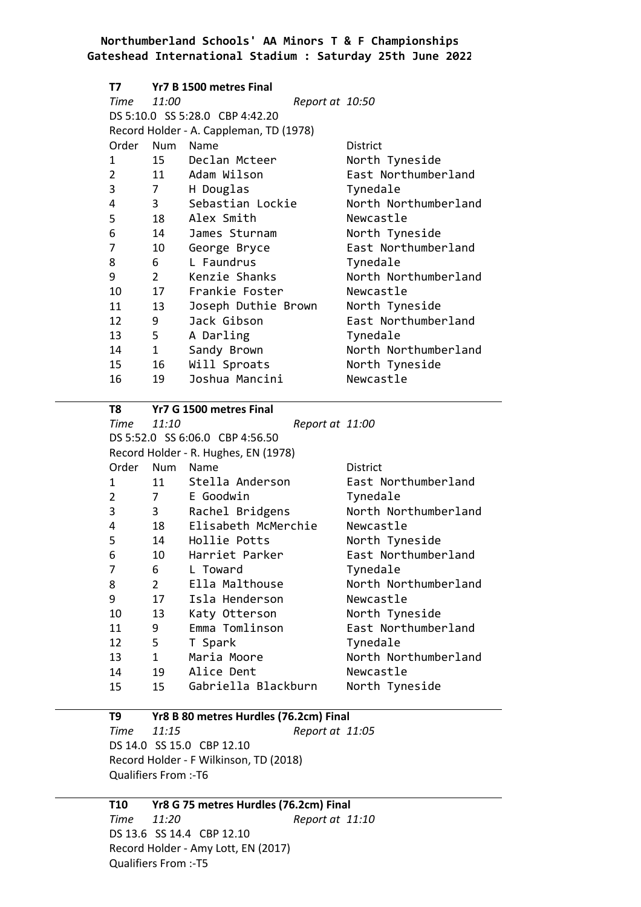| Т7             |                | Yr7 B 1500 metres Final                 |                 |                      |
|----------------|----------------|-----------------------------------------|-----------------|----------------------|
| Time           | 11:00          |                                         | Report at 10:50 |                      |
|                |                | DS 5:10.0 SS 5:28.0 CBP 4:42.20         |                 |                      |
|                |                | Record Holder - A. Cappleman, TD (1978) |                 |                      |
| Order          | Num            | Name                                    |                 | <b>District</b>      |
| 1              |                | 15 Declan Mcteer                        |                 | North Tyneside       |
| $\overline{2}$ |                | 11 Adam Wilson                          |                 | East Northumberland  |
| 3              | $\overline{7}$ | H Douglas                               |                 | Tynedale             |
| 4              |                | 3 Sebastian Lockie                      |                 | North Northumberland |
| 5              |                | 18 Alex Smith                           |                 | Newcastle            |
| 6              |                | 14 James Sturnam                        |                 | North Tyneside       |
| 7              | 10             | George Bryce                            |                 | East Northumberland  |
| 8              | $6 \qquad$     | L Faundrus                              |                 | Tynedale             |
| 9              |                | 2 Kenzie Shanks                         |                 | North Northumberland |
| 10             | 17             | Frankie Foster                          |                 | Newcastle            |
| 11             | 13             | Joseph Duthie Brown                     |                 | North Tyneside       |
| 12             | 9              | Jack Gibson                             |                 | East Northumberland  |
| 13             | $5 -$          | A Darling                               |                 | Tynedale             |
| 14             | 1              | Sandy Brown                             |                 | North Northumberland |
| 15             | 16             | Will Sproats                            |                 | North Tyneside       |
| 16             | 19             | Joshua Mancini                          |                 | Newcastle            |
|                |                |                                         |                 |                      |

| T8                               |                        | Yr7 G 1500 metres Final              |                 |                      |
|----------------------------------|------------------------|--------------------------------------|-----------------|----------------------|
| Time                             | 11:10                  |                                      | Report at 11:00 |                      |
|                                  |                        | DS 5:52.0 SS 6:06.0 CBP 4:56.50      |                 |                      |
|                                  |                        | Record Holder - R. Hughes, EN (1978) |                 |                      |
| Order                            | Num                    | <b>Name</b>                          |                 | <b>District</b>      |
| 1                                | 11                     | Stella Anderson                      |                 | East Northumberland  |
| $\overline{2}$<br>$\overline{7}$ |                        | E Goodwin                            |                 | Tynedale             |
| 3                                | $3^{\circ}$            | Rachel Bridgens                      |                 | North Northumberland |
| 4                                | 18                     | Elisabeth McMerchie                  |                 | Newcastle            |
| 5                                | 14                     | Hollie Potts                         |                 | North Tyneside       |
| 6                                | 10                     | Harriet Parker                       |                 | East Northumberland  |
| 7                                | $6 \quad \Box$         | L Toward                             |                 | Tynedale             |
| 8                                | $2^{\sim}$             | Ella Malthouse                       |                 | North Northumberland |
| 9                                | 17                     | Isla Henderson                       |                 | Newcastle            |
| 10                               | 13                     | Katy Otterson                        |                 | North Tyneside       |
| 11                               | 9                      | Emma Tomlinson                       |                 | East Northumberland  |
| 12                               | $5 -$                  | T Spark                              |                 | Tynedale             |
| 13                               | $1 \quad \blacksquare$ | Maria Moore                          |                 | North Northumberland |
| 14                               | 19                     | Alice Dent                           |                 | Newcastle            |
| 15                               | 15                     | Gabriella Blackburn                  |                 | North Tyneside       |
|                                  |                        |                                      |                 |                      |

#### **T9 Yr8 B 80 metres Hurdles (76.2cm) Final** *Time 11:15 Report at 11:05* DS 14.0 SS 15.0 CBP 12.10 Record Holder - F Wilkinson, TD (2018) Qualifiers From :-T6

### **T10 Yr8 G 75 metres Hurdles (76.2cm) Final** *Time 11:20 Report at 11:10* DS 13.6 SS 14.4 CBP 12.10 Record Holder - Amy Lott, EN (2017)

Qualifiers From :-T5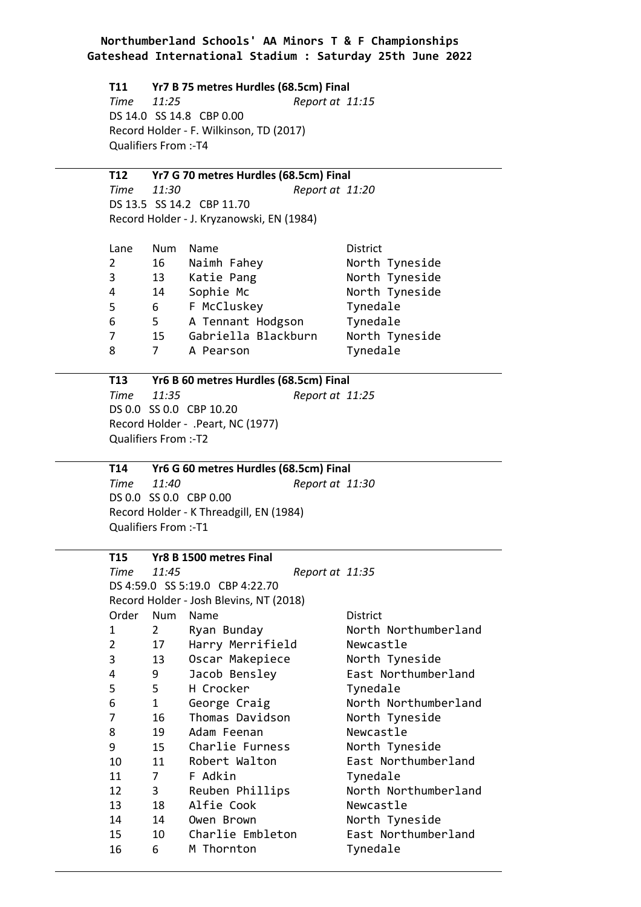**T11 Yr7 B 75 metres Hurdles (68.5cm) Final** *Time 11:25 Report at 11:15* DS 14.0 SS 14.8 CBP 0.00 Record Holder - F. Wilkinson, TD (2017) Qualifiers From :-T4

**T12 Yr7 G 70 metres Hurdles (68.5cm) Final** *Time 11:30 Report at 11:20* DS 13.5 SS 14.2 CBP 11.70 Record Holder - J. Kryzanowski, EN (1984)

| Lane | <b>Num</b> | Name                | District       |
|------|------------|---------------------|----------------|
| 2    | 16         | Naimh Fahey         | North Tyneside |
| 3    | 13         | Katie Pang          | North Tyneside |
| 4    | 14         | Sophie Mc           | North Tyneside |
| 5    | 6          | F McCluskey         | Tynedale       |
| 6    | 5          | A Tennant Hodgson   | Tynedale       |
| 7    | 15         | Gabriella Blackburn | North Tyneside |
| 8    |            | A Pearson           | Tynedale       |
|      |            |                     |                |

**T13 Yr6 B 60 metres Hurdles (68.5cm) Final** *Time 11:35 Report at 11:25* DS 0.0 SS 0.0 CBP 10.20 Record Holder - .Peart, NC (1977) Qualifiers From :-T2

**T14 Yr6 G 60 metres Hurdles (68.5cm) Final** *Time 11:40 Report at 11:30* DS 0.0 SS 0.0 CBP 0.00 Record Holder - K Threadgill, EN (1984) Qualifiers From :-T1

| T15            |                                | Yr8 B 1500 metres Final                 |                 |                      |
|----------------|--------------------------------|-----------------------------------------|-----------------|----------------------|
| Time           | 11:45                          |                                         | Report at 11:35 |                      |
|                |                                | DS 4:59.0 SS 5:19.0 CBP 4:22.70         |                 |                      |
|                |                                | Record Holder - Josh Blevins, NT (2018) |                 |                      |
| Order          | Num                            | Name                                    |                 | <b>District</b>      |
| 1              | $2 \left( \frac{1}{2} \right)$ | Ryan Bunday                             |                 | North Northumberland |
| $\overline{2}$ | 17                             | Harry Merrifield                        |                 | Newcastle            |
| 3              | 13                             | Oscar Makepiece                         |                 | North Tyneside       |
| 4              | 9                              | Jacob Bensley                           |                 | East Northumberland  |
| 5              | $5 -$                          | H Crocker                               |                 | Tynedale             |
| 6              | $1 \quad \blacksquare$         | George Craig                            |                 | North Northumberland |
| 7              | 16                             | Thomas Davidson                         |                 | North Tyneside       |
| 8              | 19                             | Adam Feenan                             |                 | Newcastle            |
| 9              | 15                             | Charlie Furness                         |                 | North Tyneside       |
| 10             | 11                             | Robert Walton                           |                 | East Northumberland  |
| 11             | 7                              | F Adkin                                 |                 | Tynedale             |
| 12             | $3^{\circ}$                    | Reuben Phillips                         |                 | North Northumberland |
| 13             | 18                             | Alfie Cook                              |                 | Newcastle            |
| 14             | 14                             | Owen Brown                              |                 | North Tyneside       |
| 15             | 10                             | Charlie Embleton                        |                 | East Northumberland  |
| 16             | 6                              | M Thornton                              |                 | Tynedale             |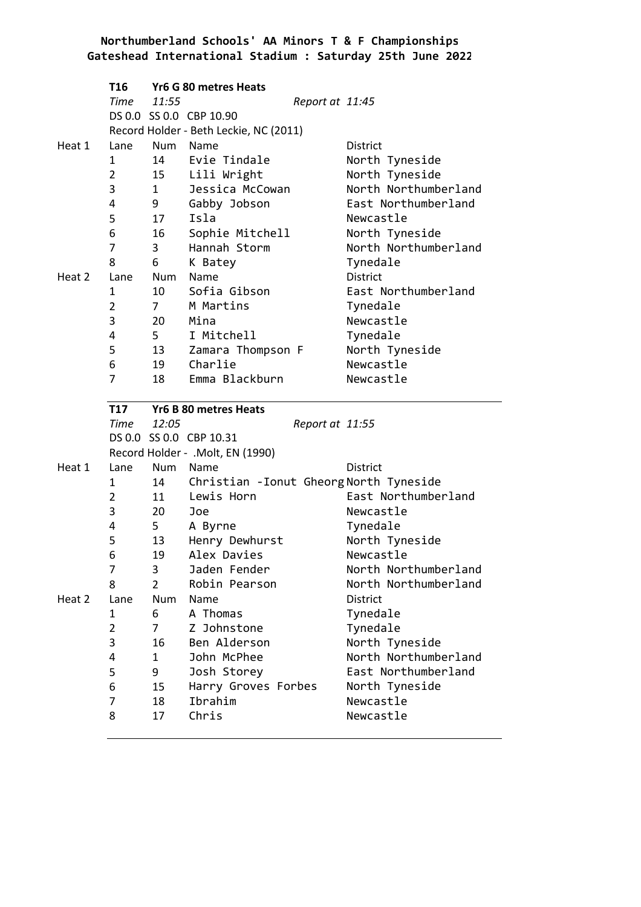|        | T16            |                        | Yr6 G 80 metres Heats                                 |                             |
|--------|----------------|------------------------|-------------------------------------------------------|-----------------------------|
|        | Time           | 11:55                  | Report at 11:45                                       |                             |
|        |                |                        | DS 0.0 SS 0.0 CBP 10.90                               |                             |
|        |                |                        | Record Holder - Beth Leckie, NC (2011)                |                             |
| Heat 1 | Lane           | Num                    | Name                                                  | District                    |
|        | 1              | 14                     | Evie Tindale                                          | North Tyneside              |
|        | $\overline{2}$ | 15                     | Lili Wright                                           | North Tyneside              |
|        | 3              | $1 \quad \blacksquare$ | Jessica McCowan                                       | North Northumberland        |
|        | 4              | 9                      | Gabby Jobson                                          | East Northumberland         |
|        | 5              | 17                     | Isla                                                  | Newcastle                   |
|        | 6              | 16                     | Sophie Mitchell                                       | North Tyneside              |
|        | 7              | $\mathbf{3}$           | Hannah Storm                                          | North Northumberland        |
|        | 8              | 6                      | K Batey                                               | Tynedale                    |
| Heat 2 | Lane           | Num                    | Name                                                  | District                    |
|        | 1              | 10                     | Sofia Gibson                                          | East Northumberland         |
|        | $\overline{2}$ | 7 <sup>7</sup>         | M Martins                                             | Tynedale                    |
|        | 3              | 20                     | Mina                                                  | Newcastle                   |
|        | 4              | $5^{\circ}$            | I Mitchell                                            | Tynedale                    |
|        | 5              | 13                     | Zamara Thompson F                                     | North Tyneside              |
|        | 6              | 19                     | Charlie                                               | Newcastle                   |
|        | 7              | 18                     | Emma Blackburn                                        | Newcastle                   |
|        | <b>T17</b>     |                        |                                                       |                             |
|        |                |                        | <b>Yr6 B 80 metres Heats</b>                          |                             |
|        | Time 12:05     |                        |                                                       |                             |
|        |                |                        | Report at 11:55<br>DS 0.0 SS 0.0 CBP 10.31            |                             |
|        |                |                        |                                                       |                             |
| Heat 1 | Lane           | Num                    | Record Holder - .Molt, EN (1990)<br>Name              | <b>District</b>             |
|        | 1              | 14                     |                                                       |                             |
|        | $\overline{2}$ | 11                     | Christian - Ionut Gheorg North Tyneside<br>Lewis Horn | East Northumberland         |
|        | 3              | 20                     | Joe                                                   | Newcastle                   |
|        | 4              | $5^{\circ}$            | A Byrne                                               |                             |
|        | 5              | 13                     |                                                       | Tynedale                    |
|        | 6              | 19                     | Henry Dewhurst<br>Alex Davies                         | North Tyneside<br>Newcastle |
|        | 7              | 3                      | Jaden Fender                                          | North Northumberland        |
|        | 8              | $\overline{2}$         | Robin Pearson                                         | North Northumberland        |
| Heat 2 | Lane           | Num                    | Name                                                  | <b>District</b>             |
|        | 1              | 6                      | A Thomas                                              | Tynedale                    |
|        | $\overline{2}$ | $\overline{7}$         | Z Johnstone                                           | Tynedale                    |
|        | 3              | 16                     | Ben Alderson                                          | North Tyneside              |
|        | 4              | $\mathbf{1}$           | John McPhee                                           | North Northumberland        |
|        | 5              | 9                      | Josh Storey                                           | East Northumberland         |
|        | 6              | 15                     | Harry Groves Forbes                                   | North Tyneside              |
|        | 7              | 18                     | Ibrahim                                               | Newcastle                   |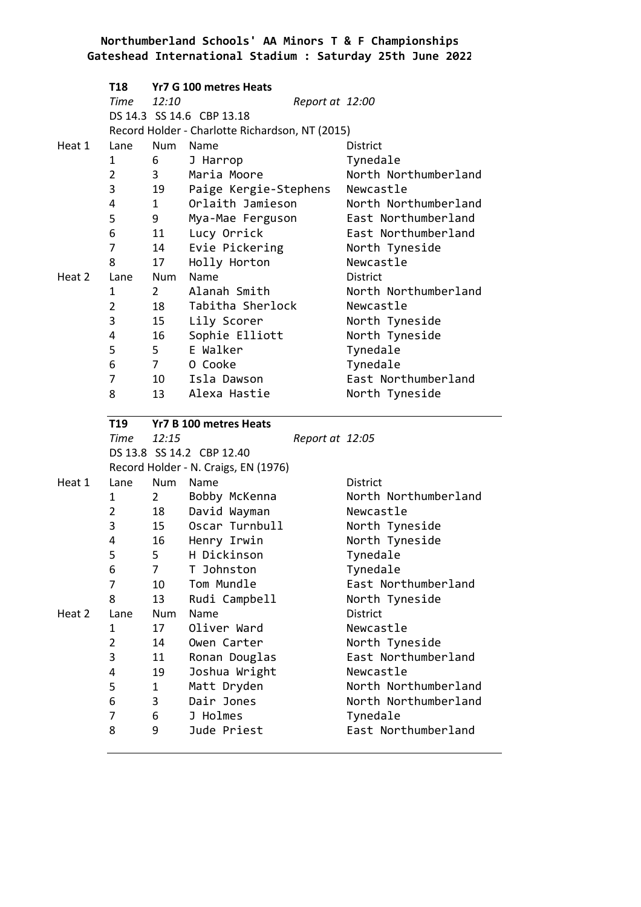|        | T18            |              | Yr7 G 100 metres Heats                          |                                 |
|--------|----------------|--------------|-------------------------------------------------|---------------------------------|
|        | Time           | 12:10        | Report at 12:00                                 |                                 |
|        |                |              | DS 14.3 SS 14.6 CBP 13.18                       |                                 |
|        |                |              | Record Holder - Charlotte Richardson, NT (2015) |                                 |
| Heat 1 | Lane           | Num          | Name                                            | <b>District</b>                 |
|        | $\mathbf{1}$   | 6            | J Harrop                                        | Tynedale                        |
|        | $\overline{2}$ | $\mathbf{3}$ | Maria Moore                                     | North Northumberland            |
|        | 3              | 19           | Paige Kergie-Stephens                           | Newcastle                       |
|        | 4              | $\mathbf{1}$ | Orlaith Jamieson                                | North Northumberland            |
|        | 5              | 9            | Mya-Mae Ferguson                                | East Northumberland             |
|        | 6              | 11           | Lucy Orrick                                     | East Northumberland             |
|        | 7              | 14           | Evie Pickering                                  | North Tyneside                  |
|        | 8              | 17           | Holly Horton                                    | Newcastle                       |
| Heat 2 | Lane           | Num          | Name                                            | <b>District</b>                 |
|        | 1              | $2^{\circ}$  | Alanah Smith                                    | North Northumberland            |
|        | $\overline{2}$ | 18           | Tabitha Sherlock                                | Newcastle                       |
|        | 3              | 15           | Lily Scorer                                     | North Tyneside                  |
|        | 4              | 16           | Sophie Elliott                                  | North Tyneside                  |
|        | 5              | 5            | E Walker                                        | Tynedale                        |
|        | 6              | $7 \quad$    | 0 Cooke                                         | Tynedale                        |
|        | 7              | 10           | Isla Dawson                                     | East Northumberland             |
|        | 8              | 13           | Alexa Hastie                                    | North Tyneside                  |
|        |                |              |                                                 |                                 |
|        |                |              |                                                 |                                 |
|        | T19            |              | Yr7 B 100 metres Heats                          |                                 |
|        | Time           | 12:15        | Report at 12:05                                 |                                 |
|        |                |              | DS 13.8 SS 14.2 CBP 12.40                       |                                 |
|        |                |              | Record Holder - N. Craigs, EN (1976)            |                                 |
| Heat 1 | Lane           | Num          | Name                                            | <b>District</b>                 |
|        | 1              | $2^{\sim}$   | Bobby McKenna                                   | North Northumberland            |
|        | 2              | 18           | David Wayman                                    | Newcastle                       |
|        | 3              | 15           | Oscar Turnbull                                  | North Tyneside                  |
|        | 4              | 16           | Henry Irwin                                     | North Tyneside                  |
|        | 5              | 5            | H Dickinson                                     | Tynedale                        |
|        | 6              | 7            | T Johnston                                      | Tynedale                        |
|        | 7              | 10           | Tom Mundle                                      | East Northumberland             |
|        | 8              | 13           | Rudi Campbell                                   | North Tyneside                  |
| Heat 2 | Lane           | Num          | Name                                            | District                        |
|        | 1              | 17           | Oliver Ward                                     | Newcastle                       |
|        | $\overline{2}$ | 14           | Owen Carter                                     | North Tyneside                  |
|        | 3              | 11           | Ronan Douglas                                   | East Northumberland             |
|        | 4              | 19           | Joshua Wright                                   | Newcastle                       |
|        | 5              | $\mathbf{1}$ | Matt Dryden                                     | North Northumberland            |
|        | 6              | 3            | Dair Jones                                      | North Northumberland            |
|        | 7<br>8         | 6<br>9       | J Holmes<br>Jude Priest                         | Tynedale<br>East Northumberland |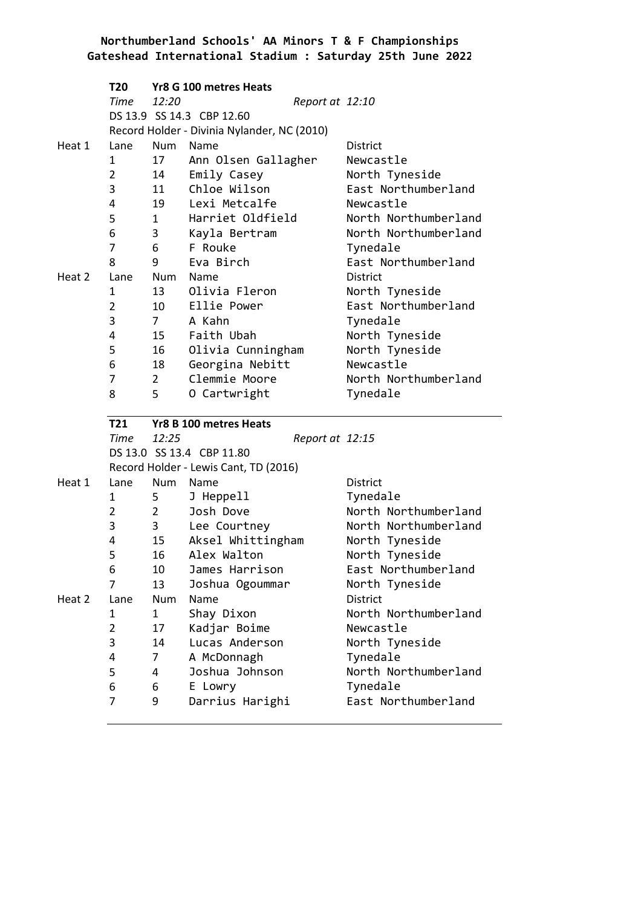|        | <b>T20</b>     |                | Yr8 G 100 metres Heats                                             |                      |
|--------|----------------|----------------|--------------------------------------------------------------------|----------------------|
|        | Time           | 12:20          | Report at 12:10                                                    |                      |
|        |                |                | DS 13.9 SS 14.3 CBP 12.60                                          |                      |
|        |                |                | Record Holder - Divinia Nylander, NC (2010)                        |                      |
| Heat 1 | Lane           | <b>Num</b>     | Name                                                               | <b>District</b>      |
|        | 1              | 17             | Ann Olsen Gallagher                                                | Newcastle            |
|        | $\overline{2}$ | 14             | Emily Casey                                                        | North Tyneside       |
|        | 3              | 11             | Chloe Wilson                                                       | East Northumberland  |
|        | 4              | 19             | Lexi Metcalfe                                                      | Newcastle            |
|        | 5              | $\mathbf{1}$   | Harriet Oldfield                                                   | North Northumberland |
|        | 6              | 3              | Kayla Bertram                                                      | North Northumberland |
|        | 7              | 6              | F Rouke                                                            | Tynedale             |
|        | 8              | 9              | Eva Birch                                                          | East Northumberland  |
| Heat 2 | Lane           | Num            | Name                                                               | <b>District</b>      |
|        | 1              | 13             | Olivia Fleron                                                      | North Tyneside       |
|        | $\overline{2}$ | 10             | Ellie Power                                                        | East Northumberland  |
|        | 3              | 7 <sup>7</sup> | A Kahn                                                             | Tynedale             |
|        | 4              | 15             | Faith Ubah                                                         | North Tyneside       |
|        | 5              | 16             | Olivia Cunningham                                                  | North Tyneside       |
|        | 6              | 18             | Georgina Nebitt                                                    | Newcastle            |
|        | 7              | $2^{\circ}$    | Clemmie Moore                                                      | North Northumberland |
|        | 8              | 5              | O Cartwright                                                       | Tynedale             |
|        |                |                |                                                                    |                      |
|        |                |                |                                                                    |                      |
|        | T21            |                | Yr8 B 100 metres Heats                                             |                      |
|        | Time           | 12:25          | Report at 12:15                                                    |                      |
|        |                |                | DS 13.0 SS 13.4 CBP 11.80<br>Record Holder - Lewis Cant, TD (2016) |                      |
| Heat 1 | Lane           | Num            | Name                                                               | District             |
|        | 1              | 5              |                                                                    | Tynedale             |
|        | $\overline{2}$ | $\overline{2}$ | J Heppell<br>Josh Dove                                             | North Northumberland |
|        | 3              | 3              | Lee Courtney                                                       | North Northumberland |
|        | 4              | 15             | Aksel Whittingham                                                  | North Tyneside       |
|        | 5              | 16             | Alex Walton                                                        | North Tyneside       |
|        | 6              | 10             | James Harrison                                                     | East Northumberland  |
|        | 7              | 13             | Joshua Ogoummar                                                    | North Tyneside       |
| Heat 2 | Lane           | Num            | Name                                                               | District             |
|        | 1              | 1              | Shay Dixon                                                         | North Northumberland |
|        | $\overline{2}$ | 17             | Kadjar Boime                                                       | Newcastle            |
|        | 3              | 14             | Lucas Anderson                                                     | North Tyneside       |
|        | 4              | 7              | A McDonnagh                                                        | Tynedale             |
|        | 5              | 4              | Joshua Johnson                                                     | North Northumberland |
|        | 6              | 6              | E Lowry                                                            | Tynedale             |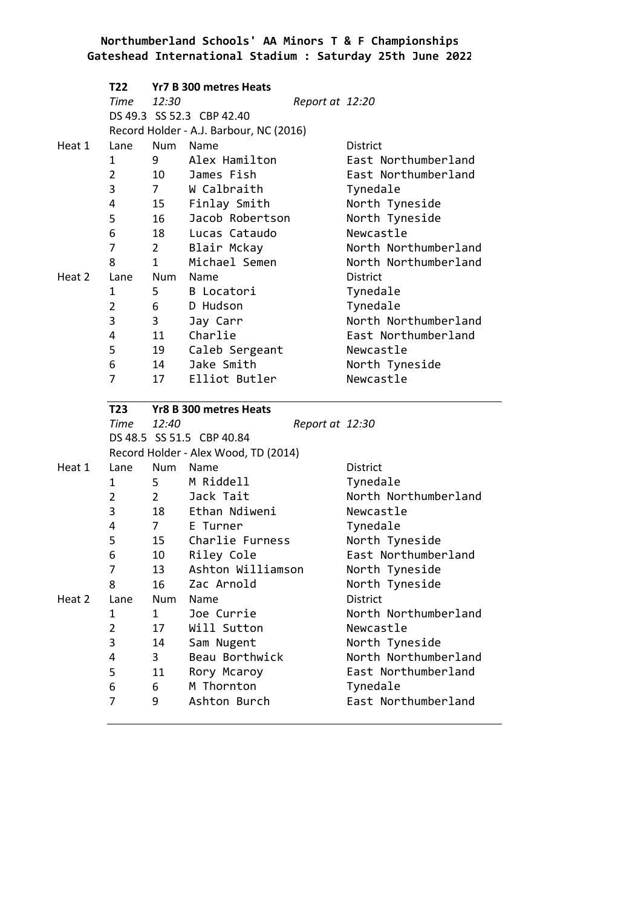|        | T22            |                | Yr7 B 300 metres Heats                  |                 |                                 |
|--------|----------------|----------------|-----------------------------------------|-----------------|---------------------------------|
|        | Time           | 12:30          |                                         | Report at 12:20 |                                 |
|        |                |                | DS 49.3 SS 52.3 CBP 42.40               |                 |                                 |
|        |                |                | Record Holder - A.J. Barbour, NC (2016) |                 |                                 |
| Heat 1 | Lane           | Num            | Name                                    |                 | <b>District</b>                 |
|        | $\mathbf{1}$   | $9^{\circ}$    | Alex Hamilton                           |                 | East Northumberland             |
|        | $\overline{2}$ | 10             | James Fish                              |                 | East Northumberland             |
|        | 3              | $7 \quad$      | W Calbraith                             |                 | Tynedale                        |
|        | 4              | 15             | Finlay Smith                            |                 | North Tyneside                  |
|        | 5              | 16             | Jacob Robertson                         |                 | North Tyneside                  |
|        | 6              | 18             | Lucas Cataudo                           |                 | Newcastle                       |
|        | $\overline{7}$ | $2^{\sim}$     | Blair Mckay                             |                 | North Northumberland            |
|        | 8              | $\mathbf{1}$   | Michael Semen                           |                 | North Northumberland            |
| Heat 2 | Lane           | Num            | Name                                    |                 | <b>District</b>                 |
|        | 1              | 5              | B Locatori                              |                 | Tynedale                        |
|        | $\overline{2}$ | $6 \qquad$     | D Hudson                                |                 | Tynedale                        |
|        | 3              | 3              | Jay Carr                                |                 | North Northumberland            |
|        | 4              | 11             | Charlie                                 |                 | East Northumberland             |
|        | 5              | 19             | Caleb Sergeant                          |                 | Newcastle                       |
|        | 6              | 14             | Jake Smith                              |                 | North Tyneside                  |
|        | 7              | 17             | Elliot Butler                           |                 | Newcastle                       |
|        |                |                |                                         |                 |                                 |
|        |                |                |                                         |                 |                                 |
|        | T23            |                | Yr8 B 300 metres Heats                  |                 |                                 |
|        | Time 12:40     |                |                                         | Report at 12:30 |                                 |
|        |                |                | DS 48.5 SS 51.5 CBP 40.84               |                 |                                 |
|        |                |                | Record Holder - Alex Wood, TD (2014)    |                 |                                 |
| Heat 1 | Lane           | Num            | Name                                    |                 | <b>District</b>                 |
|        | 1              | $5 -$          | M Riddell                               |                 | Tynedale                        |
|        | $\overline{2}$ | $2^{\sim}$     | Jack Tait                               |                 | North Northumberland            |
|        | 3              | 18             | Ethan Ndiweni                           |                 | Newcastle                       |
|        | 4              | $7 \quad$      | E Turner                                |                 | Tynedale                        |
|        | 5              | 15             | Charlie Furness                         |                 | North Tyneside                  |
|        | 6              | 10             | Riley Cole                              |                 | East Northumberland             |
|        | 7              | 13             | Ashton Williamson                       |                 | North Tyneside                  |
|        | 8              | 16             | Zac Arnold                              |                 | North Tyneside                  |
| Heat 2 | Lane           | Num            | Name                                    |                 | District                        |
|        | 1              | $\mathbf{1}$   | Joe Currie                              |                 | North Northumberland            |
|        | $\overline{2}$ | 17             | Will Sutton                             |                 | Newcastle                       |
|        | 3              | 14             | Sam Nugent                              |                 | North Tyneside                  |
|        | 4              | $\overline{3}$ | Beau Borthwick                          |                 | North Northumberland            |
|        | 5              | 11             | Rory Mcaroy                             |                 | East Northumberland             |
|        | 6<br>7         | 6<br>9         | M Thornton<br>Ashton Burch              |                 | Tynedale<br>East Northumberland |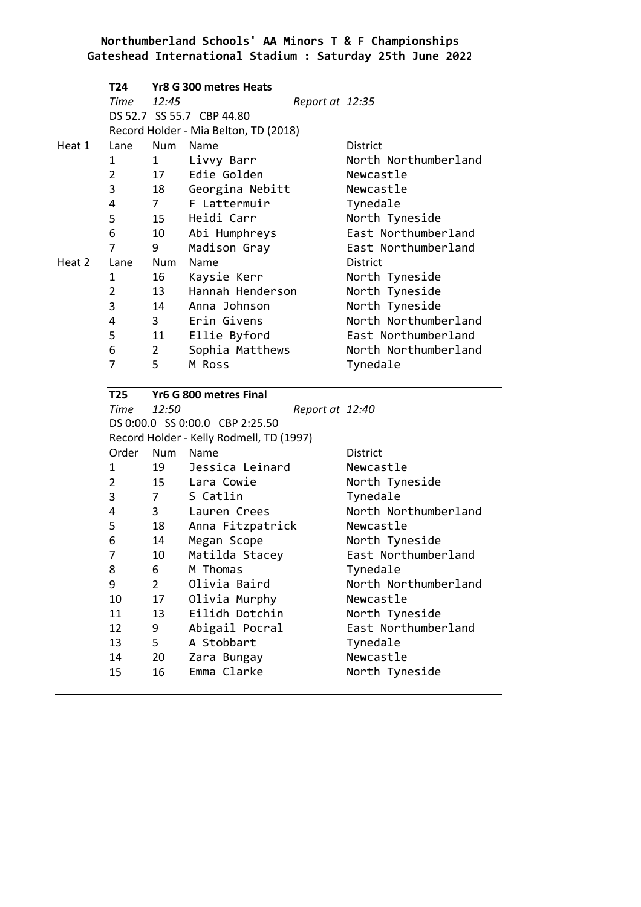|        | T <sub>24</sub> |                 | Yr8 G 300 metres Heats                   |                             |
|--------|-----------------|-----------------|------------------------------------------|-----------------------------|
|        | Time            | 12:45           |                                          | Report at 12:35             |
|        |                 |                 | DS 52.7 SS 55.7 CBP 44.80                |                             |
|        |                 |                 | Record Holder - Mia Belton, TD (2018)    |                             |
| Heat 1 | Lane            | <b>Num</b>      | Name                                     | District                    |
|        | 1               | $\mathbf{1}$    | Livvy Barr                               | North Northumberland        |
|        | $\overline{2}$  | 17              | Edie Golden                              | Newcastle                   |
|        | 3               | 18              | Georgina Nebitt                          | Newcastle                   |
|        | 4               | $7\overline{ }$ | F Lattermuir                             | Tynedale                    |
|        | 5               | 15              | Heidi Carr                               | North Tyneside              |
|        | 6               | 10              | Abi Humphreys                            | East Northumberland         |
|        | 7               | 9               | Madison Gray                             | East Northumberland         |
| Heat 2 | Lane            | Num             | Name                                     | District                    |
|        | 1               | 16              | Kaysie Kerr                              | North Tyneside              |
|        | $\overline{2}$  | 13              | Hannah Henderson                         | North Tyneside              |
|        | 3               | 14              | Anna Johnson                             | North Tyneside              |
|        | 4               | $3^{\circ}$     | Erin Givens                              | North Northumberland        |
|        | 5               | 11              | Ellie Byford                             | East Northumberland         |
|        | 6               | $\overline{2}$  | Sophia Matthews                          | North Northumberland        |
|        | 7               | 5               | M Ross                                   | Tynedale                    |
|        |                 |                 |                                          |                             |
|        | <b>T25</b>      |                 | Yr6 G 800 metres Final                   |                             |
|        | Time            | 12:50           |                                          | Report at 12:40             |
|        |                 |                 | DS 0:00.0 SS 0:00.0 CBP 2:25.50          |                             |
|        |                 |                 | Record Holder - Kelly Rodmell, TD (1997) |                             |
|        | Order           | Num             | Name                                     | District                    |
|        | 1               | 19              | Jessica Leinard                          | Newcastle                   |
|        | $\overline{2}$  | 15              | Lara Cowie                               | North Tyneside              |
|        | 3               | 7 <sup>7</sup>  | S Catlin                                 | Tynedale                    |
|        | 4               | $3^{\circ}$     | Lauren Crees                             | North Northumberland        |
|        | 5               | 18              | Anna Fitzpatrick                         | Newcastle                   |
|        | 6               | 14              | Megan Scope                              | North Tyneside              |
|        | 7               | 10              | Matilda Stacey                           | East Northumberland         |
|        | 8               | 6               | M Thomas                                 | Tynedale                    |
|        | 9               | $\overline{2}$  | Olivia Baird                             | North Northumberland        |
|        | 10              | 17              | Olivia Murphy                            | Newcastle                   |
|        | 11              | 13              | Eilidh Dotchin                           | North Tyneside              |
|        | 12              | 9               | Abigail Pocral                           | East Northumberland         |
|        | 13              | 5               | A Stobbart                               | Tynedale                    |
|        | 14<br>15        | 20<br>16        | Zara Bungay<br>Emma Clarke               | Newcastle<br>North Tyneside |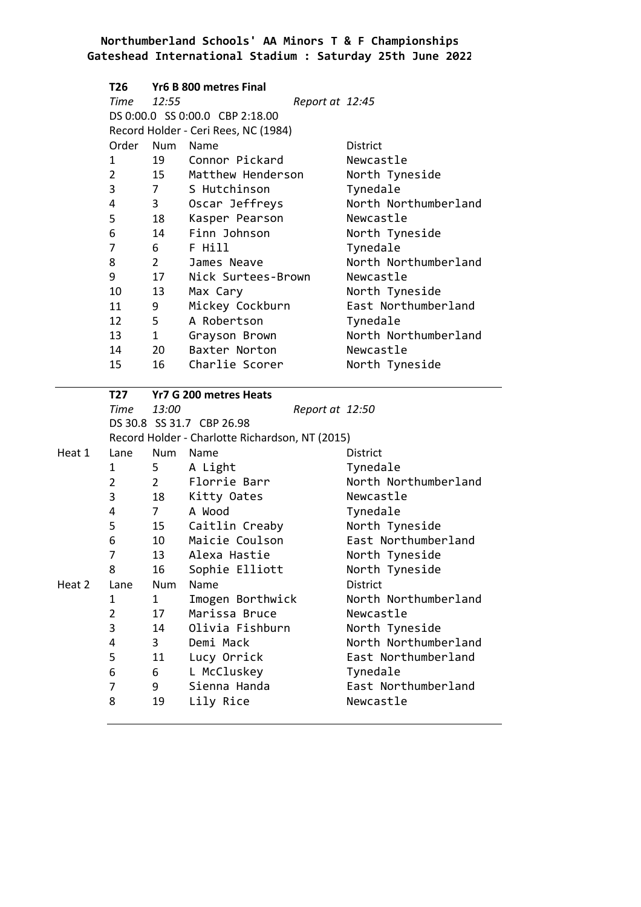|        | T26            |                                | Yr6 B 800 metres Final                          |                      |
|--------|----------------|--------------------------------|-------------------------------------------------|----------------------|
|        | Time           | 12:55                          | Report at 12:45                                 |                      |
|        |                |                                | DS 0:00.0 SS 0:00.0 CBP 2:18.00                 |                      |
|        |                |                                | Record Holder - Ceri Rees, NC (1984)            |                      |
|        | Order          | Num                            | <b>Name</b>                                     | District             |
|        | 1              | 19                             | Connor Pickard                                  | Newcastle            |
|        | $\overline{2}$ | 15                             | Matthew Henderson                               | North Tyneside       |
|        | 3              | 7 <sup>7</sup>                 | S Hutchinson                                    | Tynedale             |
|        | 4              | $3^{\circ}$                    | Oscar Jeffreys                                  | North Northumberland |
|        | 5              | 18                             | Kasper Pearson                                  | Newcastle            |
|        | 6              | 14                             | Finn Johnson                                    | North Tyneside       |
|        | 7              | $6 \quad$                      | F Hill                                          | Tynedale             |
|        | 8              | $2 \left( \frac{1}{2} \right)$ | James Neave                                     | North Northumberland |
|        | 9              | 17                             | Nick Surtees-Brown                              | Newcastle            |
|        | 10             | 13                             | Max Cary                                        | North Tyneside       |
|        | 11             | 9                              | Mickey Cockburn                                 | East Northumberland  |
|        | 12             | $5 -$                          | A Robertson                                     | Tynedale             |
|        | 13             | $1 \quad \blacksquare$         | Grayson Brown                                   | North Northumberland |
|        | 14             | 20                             | Baxter Norton                                   | Newcastle            |
|        | 15             | 16                             | Charlie Scorer                                  | North Tyneside       |
|        |                |                                |                                                 |                      |
|        | T27            |                                | Yr7 G 200 metres Heats                          |                      |
|        | Time           | 13:00                          | Report at 12:50                                 |                      |
|        |                |                                | DS 30.8 SS 31.7 CBP 26.98                       |                      |
|        |                |                                | Record Holder - Charlotte Richardson, NT (2015) |                      |
| Heat 1 | Lane           | Num Name                       |                                                 | District             |
|        | 1              | 5                              | A Light                                         | Tynedale             |
|        | $\overline{2}$ | $2^{\sim}$                     | Florrie Barr                                    | North Northumberland |
|        | 3              | 18                             | Kitty Oates                                     | Newcastle            |
|        | 4              | $7 \quad$                      | A Wood                                          | Tynedale             |
|        | 5              | 15                             | Caitlin Creaby                                  | North Tyneside       |
|        | 6              | 10                             | Maicie Coulson                                  | East Northumberland  |
|        | 7              | 13                             | Alexa Hastie                                    | North Tyneside       |
|        | 8              | 16                             | Sophie Elliott                                  | North Tyneside       |
| Heat 2 | Lane           | Num                            | Name                                            | District             |
|        | 1              | 1                              | Imogen Borthwick                                | North Northumberland |
|        | $\overline{2}$ | 17                             | Marissa Bruce                                   | Newcastle            |
|        | 3              | 14                             | Olivia Fishburn                                 | North Tyneside       |
|        | 4              | $\overline{3}$                 | Demi Mack                                       | North Northumberland |
|        | 5              | 11                             | Lucy Orrick                                     | East Northumberland  |
|        | 6              | 6                              | L McCluskey                                     | Tynedale             |
|        | 7              | 9                              | Sienna Handa                                    | East Northumberland  |
|        | 8              | 19                             | Lily Rice                                       | Newcastle            |
|        |                |                                |                                                 |                      |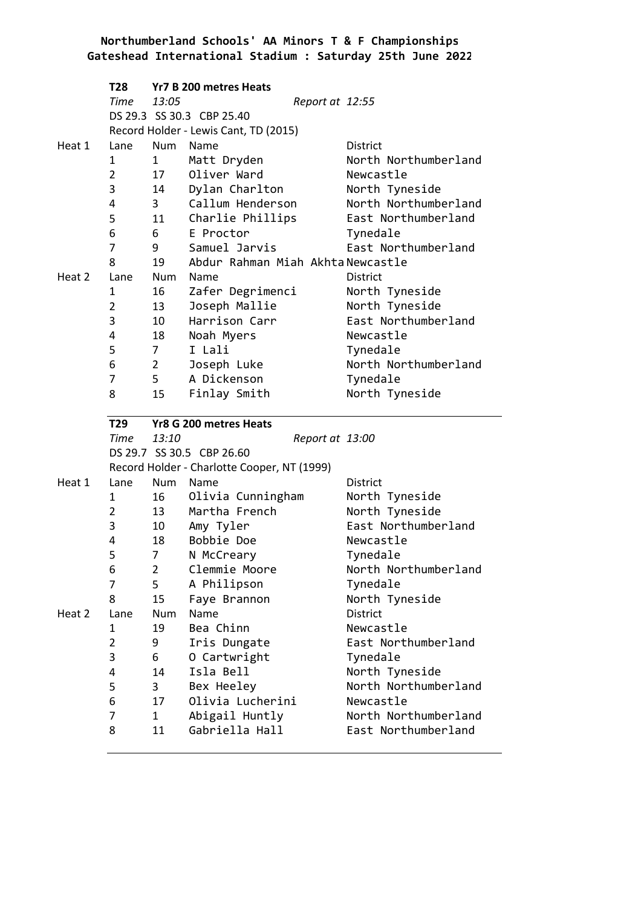|        | <b>T28</b>     |                        | Yr7 B 200 metres Heats                      |                                  |
|--------|----------------|------------------------|---------------------------------------------|----------------------------------|
|        | Time           | 13:05                  | Report at 12:55                             |                                  |
|        |                |                        | DS 29.3 SS 30.3 CBP 25.40                   |                                  |
|        |                |                        | Record Holder - Lewis Cant, TD (2015)       |                                  |
| Heat 1 | Lane           | Num                    | Name                                        | <b>District</b>                  |
|        | 1              | $1 \quad \blacksquare$ | Matt Dryden                                 | North Northumberland             |
|        | $\overline{2}$ | 17                     | Oliver Ward                                 | Newcastle                        |
|        | 3              | 14                     | Dylan Charlton                              | North Tyneside                   |
|        | 4              | 3 <sup>7</sup>         | Callum Henderson                            | North Northumberland             |
|        | 5              | 11                     | Charlie Phillips                            | East Northumberland              |
|        | 6              | 6                      | E Proctor                                   | Tynedale                         |
|        | 7              | $9^{\circ}$            | Samuel Jarvis                               | East Northumberland              |
|        | 8              | 19                     | Abdur Rahman Miah Akhta Newcastle           |                                  |
| Heat 2 | Lane           | Num                    | Name                                        | <b>District</b>                  |
|        | 1              | 16                     | Zafer Degrimenci                            | North Tyneside                   |
|        | $\overline{2}$ | 13                     | Joseph Mallie                               | North Tyneside                   |
|        | 3              | 10                     | Harrison Carr                               | East Northumberland              |
|        | 4              | 18                     | Noah Myers                                  | Newcastle                        |
|        | 5              | $\overline{7}$         | I Lali                                      | Tynedale                         |
|        | 6              | $2^{\sim}$             | Joseph Luke                                 | North Northumberland             |
|        | 7              | 5                      | A Dickenson                                 | Tynedale                         |
|        | 8              | 15                     | Finlay Smith                                | North Tyneside                   |
|        |                |                        |                                             |                                  |
|        |                |                        |                                             |                                  |
|        | T29            |                        | Yr8 G 200 metres Heats                      |                                  |
|        | Time           | 13:10                  | Report at 13:00                             |                                  |
|        |                |                        | DS 29.7 SS 30.5 CBP 26.60                   |                                  |
|        |                | Num                    | Record Holder - Charlotte Cooper, NT (1999) |                                  |
| Heat 1 | Lane<br>1      |                        | Name                                        | <b>District</b>                  |
|        |                | 16                     | Olivia Cunningham                           | North Tyneside                   |
|        | $\overline{2}$ | 13                     | Martha French                               | North Tyneside                   |
|        | 3<br>4         | 10<br>18               | Amy Tyler<br>Bobbie Doe                     | East Northumberland<br>Newcastle |
|        | 5              |                        |                                             |                                  |
|        |                | 7                      | N McCreary                                  | Tynedale                         |
|        | 6<br>7         | $\overline{2}$         | Clemmie Moore                               | North Northumberland             |
|        | 8              | 5                      | A Philipson                                 | Tynedale                         |
| Heat 2 | Lane           | 15<br>Num              | Faye Brannon<br>Name                        | North Tyneside<br>District       |
|        | 1              | 19                     | Bea Chinn                                   | Newcastle                        |
|        | $\overline{2}$ |                        |                                             | East Northumberland              |
|        | 3              | 9<br>6                 | Iris Dungate                                | Tynedale                         |
|        | 4              | 14                     | 0 Cartwright<br>Isla Bell                   | North Tyneside                   |
|        | 5              | 3                      |                                             | North Northumberland             |
|        | 6              | 17                     | Bex Heeley<br>Olivia Lucherini              | Newcastle                        |
|        | 7              | $\mathbf{1}$           | Abigail Huntly                              | North Northumberland             |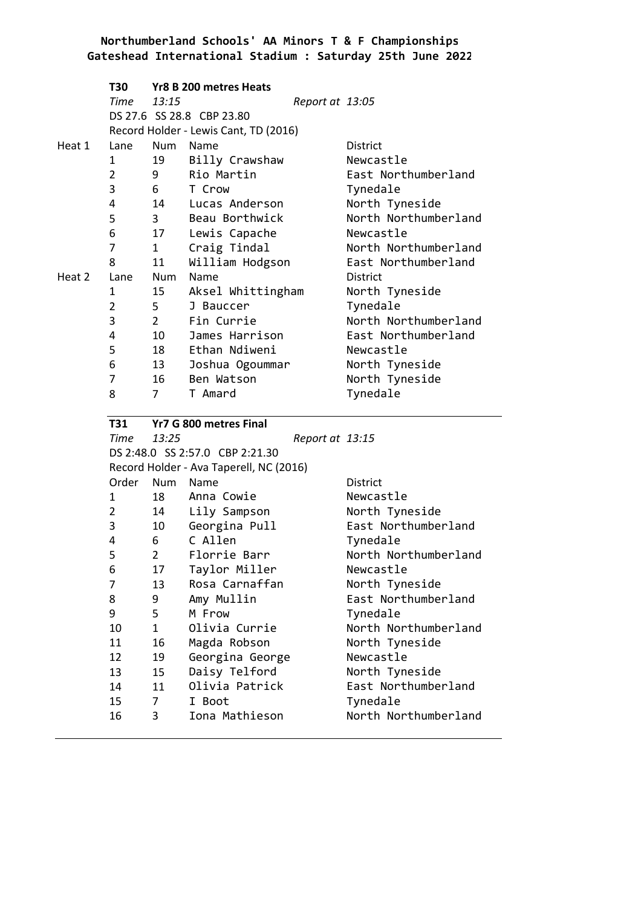|        | T30            |                | Yr8 B 200 metres Heats                  |                 |                      |
|--------|----------------|----------------|-----------------------------------------|-----------------|----------------------|
|        | Time           | 13:15          |                                         | Report at 13:05 |                      |
|        |                |                | DS 27.6 SS 28.8 CBP 23.80               |                 |                      |
|        |                |                | Record Holder - Lewis Cant, TD (2016)   |                 |                      |
| Heat 1 | Lane           | Num            | Name                                    |                 | <b>District</b>      |
|        | 1              | 19             | Billy Crawshaw                          |                 | Newcastle            |
|        | $\overline{2}$ | 9              | Rio Martin                              |                 | East Northumberland  |
|        | 3              | 6              | T Crow                                  |                 | Tynedale             |
|        | 4              | 14             | Lucas Anderson                          |                 | North Tyneside       |
|        | 5              | 3              | Beau Borthwick                          |                 | North Northumberland |
|        | 6              | 17             | Lewis Capache                           |                 | Newcastle            |
|        | 7              | $\mathbf{1}$   | Craig Tindal                            |                 | North Northumberland |
|        | 8              | 11             | William Hodgson                         |                 | East Northumberland  |
| Heat 2 | Lane           | Num            | Name                                    |                 | <b>District</b>      |
|        | 1              | 15             | Aksel Whittingham                       |                 | North Tyneside       |
|        | $\overline{2}$ | 5              | J Bauccer                               |                 | Tynedale             |
|        | 3              | $\overline{2}$ | Fin Currie                              |                 | North Northumberland |
|        | 4              | 10             | James Harrison                          |                 | East Northumberland  |
|        | 5              | 18             | Ethan Ndiweni                           |                 | Newcastle            |
|        | 6              | 13             | Joshua Ogoummar                         |                 | North Tyneside       |
|        | 7              | 16             | Ben Watson                              |                 | North Tyneside       |
|        | 8              | $\overline{7}$ | T Amard                                 |                 | Tynedale             |
|        | T31            |                | Yr7 G 800 metres Final                  |                 |                      |
|        | <b>Time</b>    | 13:25          |                                         | Report at 13:15 |                      |
|        |                |                | DS 2:48.0 SS 2:57.0 CBP 2:21.30         |                 |                      |
|        |                |                | Record Holder - Ava Taperell, NC (2016) |                 |                      |
|        | Order          | Num            | Name                                    |                 | <b>District</b>      |
|        | 1              | 18             | Anna Cowie                              |                 | Newcastle            |
|        | $\overline{2}$ | 14             | Lily Sampson                            |                 | North Tyneside       |
|        | 3              | 10             | Georgina Pull                           |                 | East Northumberland  |
|        | 4              | 6              | C Allen                                 |                 | Tynedale             |
|        | 5              | $\overline{2}$ | Florrie Barr                            |                 | North Northumberland |
|        | 6              | 17             | Taylor Miller                           |                 | Newcastle            |
|        | $\overline{7}$ | 13             | Rosa Carnaffan                          |                 | North Tyneside       |
|        | 8              | 9              | Amy Mullin                              |                 | East Northumberland  |
|        | 9              | 5              | M Frow                                  |                 | Tynedale             |
|        | 10             | $\overline{1}$ | Olivia Currie                           |                 | North Northumberland |

11 16 Magda Robson North Tyneside

13 15 Daisy Telford North Tyneside

14 11 Olivia Patrick East Northumberland

16 3 Iona Mathieson North Northumberland

12 19 Georgina George Newcastle

15 7 I Boot Tynedale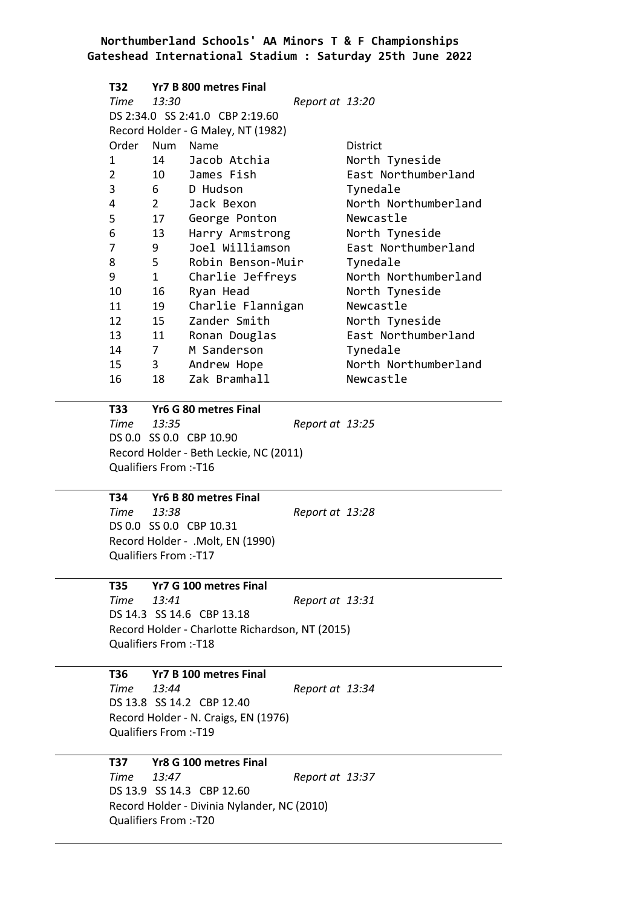| T32            |                | Yr7 B 800 metres Final             |                 |                      |
|----------------|----------------|------------------------------------|-----------------|----------------------|
| Time           | 13:30          |                                    | Report at 13:20 |                      |
|                |                | DS 2:34.0 SS 2:41.0 CBP 2:19.60    |                 |                      |
|                |                | Record Holder - G Maley, NT (1982) |                 |                      |
| Order          | Num            | Name                               |                 | <b>District</b>      |
| 1              | 14             | Jacob Atchia                       |                 | North Tyneside       |
| $\overline{2}$ |                | 10 James Fish                      |                 | East Northumberland  |
| 3              | $6 \quad$      | D Hudson                           |                 | Tynedale             |
| 4              | $2^{\sim}$     | Jack Bexon                         |                 | North Northumberland |
| 5              | 17             | George Ponton                      |                 | Newcastle            |
| 6              | 13             | Harry Armstrong                    |                 | North Tyneside       |
| 7              | 9              | Joel Williamson                    |                 | East Northumberland  |
| 8              | $5 -$          | Robin Benson-Muir                  |                 | Tynedale             |
| 9              | $\mathbf{1}$   | Charlie Jeffreys                   |                 | North Northumberland |
| 10             | 16             | Ryan Head                          |                 | North Tyneside       |
| 11             | 19             | Charlie Flannigan                  |                 | Newcastle            |
| 12 and 12      | 15             | Zander Smith                       |                 | North Tyneside       |
| 13             | 11             | Ronan Douglas                      |                 | East Northumberland  |
| 14             | $\overline{7}$ | M Sanderson                        |                 | Tynedale             |
| 15             | 3              | Andrew Hope                        |                 | North Northumberland |
| 16             | 18             | Zak Bramhall                       |                 | Newcastle            |

#### **T33 Yr6 G 80 metres Final**

*Time 13:35 Report at 13:25* DS 0.0 SS 0.0 CBP 10.90 Record Holder - Beth Leckie, NC (2011) Qualifiers From :-T16

**T34 Yr6 B 80 metres Final** *Time 13:38 Report at 13:28*

DS 0.0 SS 0.0 CBP 10.31 Record Holder - .Molt, EN (1990) Qualifiers From :-T17

**T35 Yr7 G 100 metres Final** *Time 13:41 Report at 13:31* DS 14.3 SS 14.6 CBP 13.18 Record Holder - Charlotte Richardson, NT (2015) Qualifiers From :-T18

# **T36 Yr7 B 100 metres Final**

*Time 13:44 Report at 13:34* DS 13.8 SS 14.2 CBP 12.40 Record Holder - N. Craigs, EN (1976) Qualifiers From :-T19

# **T37 Yr8 G 100 metres Final**

*Time 13:47 Report at 13:37* DS 13.9 SS 14.3 CBP 12.60 Record Holder - Divinia Nylander, NC (2010) Qualifiers From :-T20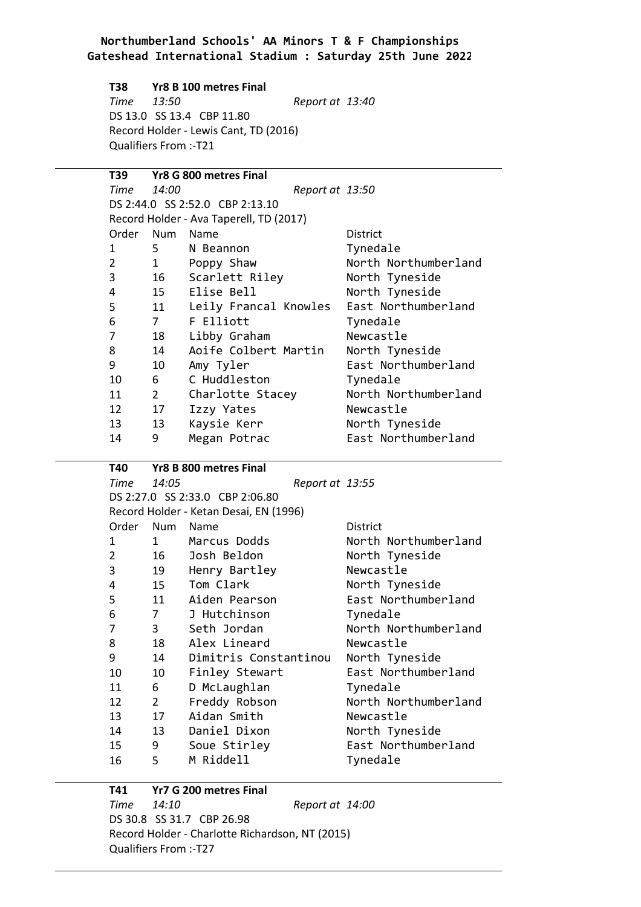#### **T38 Yr8 B 100 metres Final**

*Time 13:50 Report at 13:40* DS 13.0 SS 13.4 CBP 11.80 Record Holder - Lewis Cant, TD (2016) Qualifiers From :-T21

### **T39 Yr8 G 800 metres Final** *Time 14:00 Report at 13:50* DS 2:44.0 SS 2:52.0 CBP 2:13.10 Record Holder - Ava Taperell, TD (2017) Order Num Name **District** 1 5 N Beannon 5 Tynedale 2 1 Poppy Shaw North Northumberland 3 3 16 Scarlett Riley North Tyneside 4 4 15 Elise Bell North Tyneside 5 5 11 Leily Francal Knowles East Northumberland 6 6 7 F Elliott Tynedale 7 7 18 Libby Graham Newcastle 8 8 14 Aoife Colbert Martin North Tyneside 9 10 Amy Tyler East Northumberland<br>10 6 C Huddleston Tynedale 10 10 6 C Huddleston Tynedale 11 2 Charlotte Stacey North Northumberland 12 12 17 Izzy Yates Newcastle 13 13 13 Kaysie Kerr North Tyneside 14 14 9 Megan Potrac East Northumberland

#### **T40 Yr8 B 800 metres Final**

*Time 14:05 Report at 13:55* DS 2:27.0 SS 2:33.0 CBP 2:06.80 Record Holder - Ketan Desai, EN (1996) Order Num Name **District** 1 1 1 Marcus Dodds North Northumberland 2 16 Josh Beldon North Tyneside 3 3 19 Henry Bartley Newcastle 4 15 Tom Clark North Tyneside 5 5 11 Aiden Pearson East Northumberland 6 6 7 J Hutchinson Tynedale 7 3 Seth Jordan North Northumberland 8 8 18 Alex Lineard Newcastle 9 9 14 Dimitris Constantinou North Tyneside 10 10 10 Finley Stewart East Northumberland 11 6 D McLaughlan Tynedale 12 12 Freddy Robson 13 17 Aidan Smith 13 North Northumberland 13 13 17 Aidan Smith Newcastle 14 14 13 Daniel Dixon North Tyneside 15 15 9 Soue Stirley East Northumberland 16 16 5 M Riddell Tynedale

#### **T41 Yr7 G 200 metres Final** *Time 14:10 Report at 14:00* DS 30.8 SS 31.7 CBP 26.98 Record Holder - Charlotte Richardson, NT (2015) Qualifiers From :-T27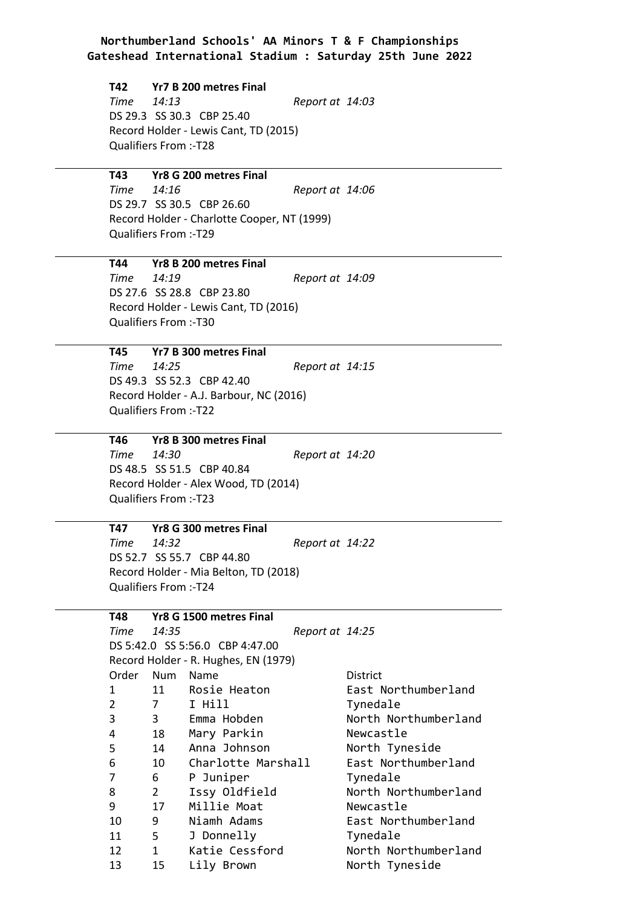#### **T42 Yr7 B 200 metres Final**

*Time 14:13 Report at 14:03* DS 29.3 SS 30.3 CBP 25.40 Record Holder - Lewis Cant, TD (2015) Qualifiers From :-T28

#### **T43 Yr8 G 200 metres Final**

*Time 14:16 Report at 14:06* DS 29.7 SS 30.5 CBP 26.60 Record Holder - Charlotte Cooper, NT (1999) Qualifiers From :-T29

#### **T44 Yr8 B 200 metres Final**

*Time 14:19 Report at 14:09* DS 27.6 SS 28.8 CBP 23.80 Record Holder - Lewis Cant, TD (2016) Qualifiers From :-T30

**T45 Yr7 B 300 metres Final** *Time 14:25 Report at 14:15* DS 49.3 SS 52.3 CBP 42.40 Record Holder - A.J. Barbour, NC (2016) Qualifiers From :-T22

#### **T46 Yr8 B 300 metres Final**

*Time 14:30 Report at 14:20* DS 48.5 SS 51.5 CBP 40.84 Record Holder - Alex Wood, TD (2014) Qualifiers From :-T23

### **T47 Yr8 G 300 metres Final**

*Time 14:32 Report at 14:22* DS 52.7 SS 55.7 CBP 44.80 Record Holder - Mia Belton, TD (2018) Qualifiers From :-T24

#### **T48 Yr8 G 1500 metres Final**

*Time 14:35 Report at 14:25* DS 5:42.0 SS 5:56.0 CBP 4:47.00 Record Holder - R. Hughes, EN (1979) Order Num Name **District** 1 11 Rosie Heaton **East Northumberland** 2 2 7 I Hill Tynedale 3 3 3 Emma Hobden North Northumberland 4 4 18 Mary Parkin Newcastle 5 14 Anna Johnson North Tyneside 6 6 10 Charlotte Marshall East Northumberland 7 7 6 P Juniper Tynedale 8 8 2 Issy Oldfield North Northumberland 9 9 17 Millie Moat Newcastle 10 10 9 Niamh Adams East Northumberland 11 5 J Donnelly Tynedale 12 12 1 Katie Cessford North Northumberland 13 13 15 Lily Brown North Tyneside